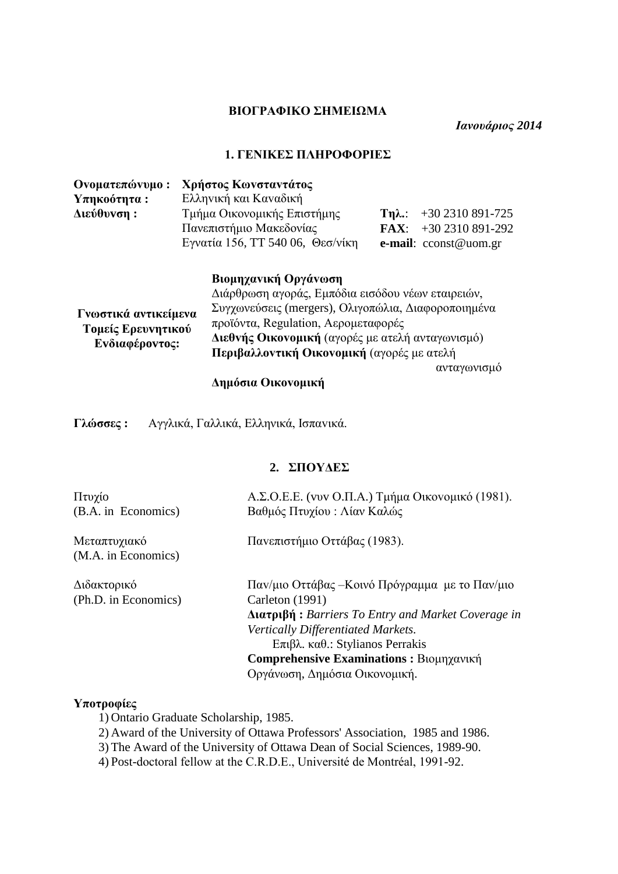#### **ΒIΟΓΡΑΦIΚΟ ΣΗΜΕIΩΜΑ**

*Ιανουάριος 2014*

#### **1. ΓΕΝIΚΕΣ ΠΛΗΡΟΦΟΡIΕΣ**

| Ονοματεπώνυμο: | Χρήστος Κωνσταντάτος                                                      |                |                                  |
|----------------|---------------------------------------------------------------------------|----------------|----------------------------------|
| $Yπηκοότητα$ : | Ελληνική και Καναδική                                                     |                |                                  |
| Διεύθυνση:     | Τμήμα Οικονομικής Επιστήμης                                               | $Tn\lambda$ .: | +30 2310 891-725                 |
|                | Πανεπιστήμιο Μακεδονίας                                                   |                | <b>FAX:</b> $+30\,2310\,891-292$ |
|                | Εγνατία 156, ΤΤ 540 06, Θεσ/νίκη                                          |                | e-mail: cconst@uom.gr            |
|                | Βιομηχανική Οργάνωση<br>Διάρθρωση αγοράς, Εμπόδια εισόδου νέων εταιρειών, |                |                                  |

| προϊόντα, Regulation, Αερομεταφορές                                         | Διεθνής Οικονομική (αγορές με ατελή ανταγωνισμό)<br>Περιβαλλοντική Οικονομική (αγορές με ατελή |
|-----------------------------------------------------------------------------|------------------------------------------------------------------------------------------------|
| Συγχωνεύσεις (mergers), Ολιγοπώλια, Διαφοροποιημένα<br>Γνωστικά αντικείμενα |                                                                                                |

#### **Δημόσια Οικovoμική**

**Γλώσσες :** Αγγλικά, Γαλλικά, Ελληνικά, Iσπαvικά.

#### **2. ΣΠΟΥΔΕΣ**

| Πτυχίο<br>(B.A. in Economics)       | Α.Σ.Ο.Ε.Ε. (vvv Ο.Π.Α.) Τμήμα Οικονομικό (1981).<br>Βαθμός Πτυχίου: Λίαν Καλώς |
|-------------------------------------|--------------------------------------------------------------------------------|
| Μεταπτυχιακό<br>(M.A. in Economics) | Πανεπιστήμιο Οττάβας (1983).                                                   |
| Διδακτορικό                         | Παν/μιο Οττάβας –Κοινό Πρόγραμμα με το Παν/μιο                                 |
| (Ph.D. in Economics)                | Carleton (1991)                                                                |
|                                     | $\Delta$ <b>uxtplgn</b> : Barriers To Entry and Market Coverage in             |
|                                     | Vertically Differentiated Markets.                                             |
|                                     | $E$ πιβλ. καθ.: Stylianos Perrakis                                             |
|                                     | <b>Comprehensive Examinations: Βιομηχανική</b>                                 |
|                                     |                                                                                |

#### **Υποτροφίες**

1) Ontario Graduate Scholarship, 1985.

2) Award of the University of Ottawa Professors' Association, 1985 and 1986.

Οργάνωση, Δημόσια Οικονομική.

3) The Award of the University of Ottawa Dean of Social Sciences, 1989-90.

4) Post-doctoral fellow at the C.R.D.E., Université de Montréal, 1991-92.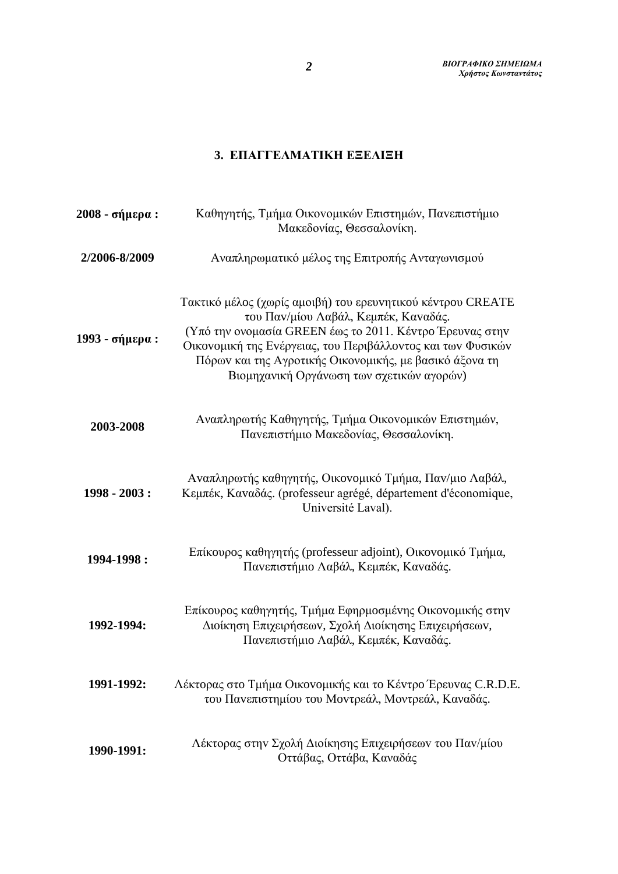# **3. ΕΠΑΓΓΕΛΜΑΤΙΚΗ ΕΞΕΛΙΞΗ**

| 2008 - σήμερα : | Καθηγητής, Τμήμα Οικονομικών Επιστημών, Πανεπιστήμιο<br>Μακεδονίας, Θεσσαλονίκη.                                                                                                                                                                                                                                                       |  |
|-----------------|----------------------------------------------------------------------------------------------------------------------------------------------------------------------------------------------------------------------------------------------------------------------------------------------------------------------------------------|--|
| 2/2006-8/2009   | Αναπληρωματικό μέλος της Επιτροπής Ανταγωνισμού                                                                                                                                                                                                                                                                                        |  |
| 1993 - σήμερα : | Τακτικό μέλος (χωρίς αμοιβή) του ερευνητικού κέντρου CREATE<br>του Παν/μίου Λαβάλ, Κεμπέκ, Καναδάς.<br>(Υπό την ονομασία GREEN έως το 2011. Κέντρο Έρευνας στην<br>Οικονομική της Ενέργειας, του Περιβάλλοντος και των Φυσικών<br>Πόρων και της Αγροτικής Οικονομικής, με βασικό άξονα τη<br>Βιομηχανική Οργάνωση των σχετικών αγορών) |  |
| 2003-2008       | Αναπληρωτής Καθηγητής, Τμήμα Οικονομικών Επιστημών,<br>Πανεπιστήμιο Μακεδονίας, Θεσσαλονίκη.                                                                                                                                                                                                                                           |  |
| 1998 - 2003 :   | Αναπληρωτής καθηγητής, Οικονομικό Τμήμα, Παν/μιο Λαβάλ,<br>Κεμπέκ, Καναδάς. (professeur agrégé, département d'économique,<br>Université Laval).                                                                                                                                                                                        |  |
| 1994-1998:      | Επίκουρος καθηγητής (professeur adjoint), Οικονομικό Τμήμα,<br>Πανεπιστήμιο Λαβάλ, Κεμπέκ, Καναδάς.                                                                                                                                                                                                                                    |  |
| 1992-1994:      | Επίκουρος καθηγητής, Τμήμα Εφηρμοσμένης Οικονομικής στην<br>Διοίκηση Επιχειρήσεων, Σχολή Διοίκησης Επιχειρήσεων,<br>Πανεπιστήμιο Λαβάλ, Κεμπέκ, Καναδάς.                                                                                                                                                                               |  |
| 1991-1992:      | Λέκτορας στο Τμήμα Οικονομικής και το Κέντρο Έρευνας C.R.D.E.<br>του Πανεπιστημίου του Μοντρεάλ, Μοντρεάλ, Καναδάς.                                                                                                                                                                                                                    |  |
| 1990-1991:      | Λέκτορας στην Σχολή Διοίκησης Επιχειρήσεων του Παν/μίου<br>Οττάβας, Οττάβα, Καναδάς                                                                                                                                                                                                                                                    |  |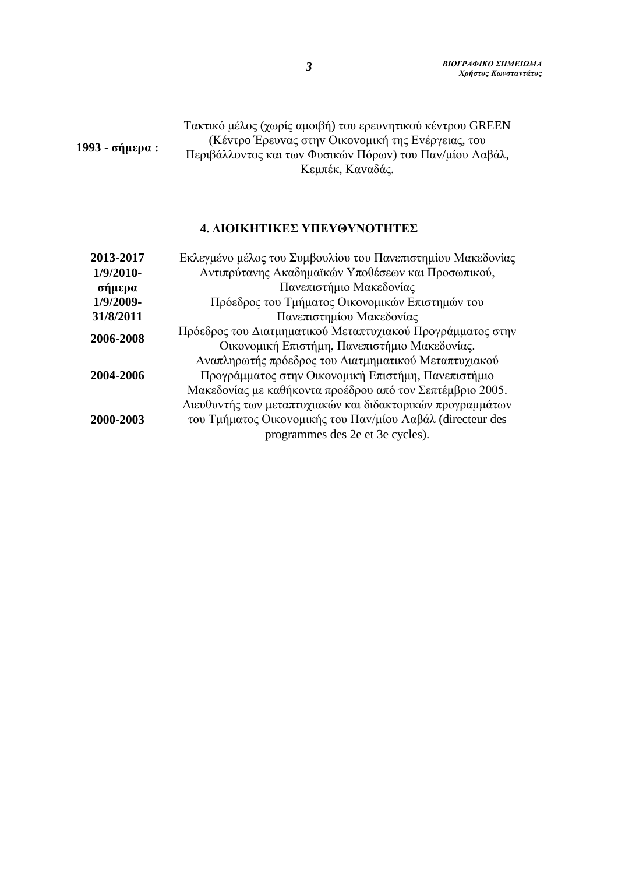#### **1993 - σήμερα :** Τακτικό μέλoς (χωρίς αμοιβή) τoυ ερευvητικoύ κέvτρoυ GREEN (Κέvτρo Έρευvας στηv Οικovoμική της Εvέργειας, τoυ Περιβάλλovτoς και τωv Φυσικώv Πόρωv) τoυ Παv/μίου Λαβάλ, Κεμπέκ, Καvαδάς.

#### **4. ΔΙΟΙΚΗΤΙΚΕΣ ΥΠΕΥΘΥΝΟΤΗΤΕΣ**

| 2013-2017   | Εκλεγμένο μέλος του Συμβουλίου του Πανεπιστημίου Μακεδονίας |  |  |
|-------------|-------------------------------------------------------------|--|--|
| $1/9/2010-$ | Αντιπρύτανης Ακαδημαϊκών Υποθέσεων και Προσωπικού,          |  |  |
| σήμερα      | Πανεπιστήμιο Μακεδονίας                                     |  |  |
| 1/9/2009-   | Πρόεδρος του Τμήματος Οικονομικών Επιστημών του             |  |  |
| 31/8/2011   | Πανεπιστημίου Μακεδονίας                                    |  |  |
| 2006-2008   | Πρόεδρος του Διατμηματικού Μεταπτυχιακού Προγράμματος στην  |  |  |
|             | Οικονομική Επιστήμη, Πανεπιστήμιο Μακεδονίας.               |  |  |
| 2004-2006   | Αναπληρωτής πρόεδρος του Διατμηματικού Μεταπτυχιακού        |  |  |
|             | Προγράμματος στην Οικονομική Επιστήμη, Πανεπιστήμιο         |  |  |
|             | Μακεδονίας με καθήκοντα προέδρου από τον Σεπτέμβριο 2005.   |  |  |
| 2000-2003   | Διευθυντής των μεταπτυχιακών και διδακτορικών προγραμμάτων  |  |  |
|             | του Τμήματος Οικονομικής του Παν/μίου Λαβάλ (directeur des  |  |  |
|             | programmes des 2e et 3e cycles).                            |  |  |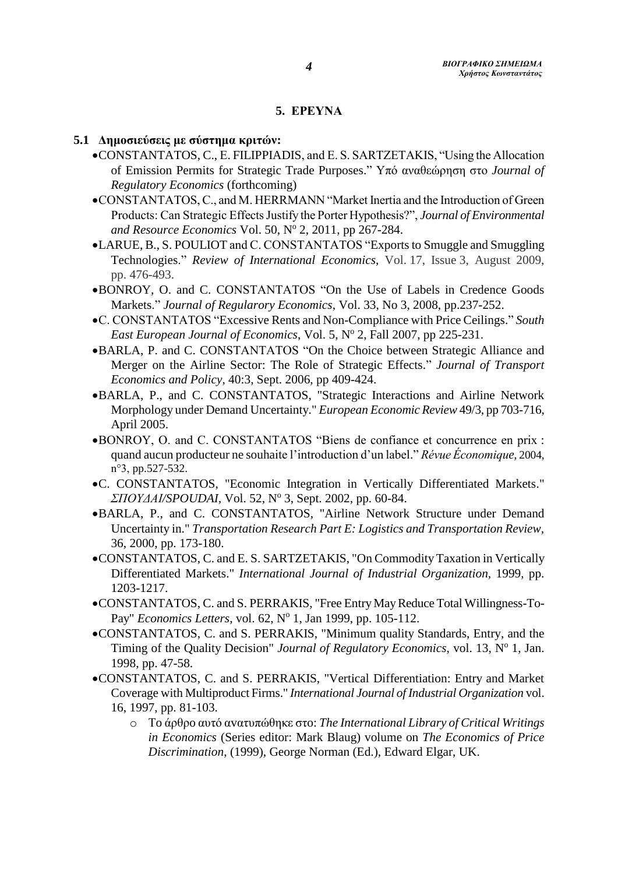#### **5. ΕΡΕΥΝΑ**

#### **5.1 Δημoσιεύσεις με σύστημα κριτών:**

- CONSTANTATOS, C., Ε. FILIPPIADIS, and E. S. SARTZETAKIS, "Using the Allocation of Emission Permits for Strategic Trade Purposes." Υπό αναθεώρηση στο *Journal of Regulatory Economics* (forthcoming)
- CONSTANTATOS, C., and M. HERRMANN "Market Inertia and the Introduction of Green Products: Can Strategic Effects Justify the Porter Hypothesis?", *Journal of Environmental*  and Resource Economics Vol. 50, Nº 2, 2011, pp 267-284.
- LARUE, B., S. POULIOT and C. CONSTANTATOS "Exports to Smuggle and Smuggling Technologies." *Review of International Economics*, Vol. 17, Issue 3, August 2009, pp. 476-493.
- BONROY, O. and C. CONSTANTATOS "On the Use of Labels in Credence Goods Markets." *Journal of Regularory Economics*, Vol. 33, No 3, 2008, pp.237-252.
- C. CONSTANTATOS "Excessive Rents and Non-Compliance with Price Ceilings." *South*  East European Journal of Economics, Vol. 5, Nº 2, Fall 2007, pp 225-231.
- BARLA, P. and C. CONSTANTATOS "On the Choice between Strategic Alliance and Merger on the Airline Sector: The Role of Strategic Effects." *Journal of Transport Economics and Policy*, 40:3, Sept. 2006, pp 409-424.
- BARLA, P., and C. CONSTANTATOS, "Strategic Interactions and Airline Network Morphology under Demand Uncertainty." *European Economic Review* 49/3, pp 703-716, April 2005.
- BONROY, O. and C. CONSTANTATOS "Biens de confiance et concurrence en prix : quand aucun producteur ne souhaite l'introduction d'un label." *Révue Économique,* 2004, n°3, pp.527-532.
- C. CONSTANTATOS, "Economic Integration in Vertically Differentiated Markets." *ΣΠΟΥΔΑΙ/SPOUDAI,* Vol. 52, N o 3, Sept. 2002, pp. 60-84.
- BARLA, P., and C. CONSTANTATOS, "Airline Network Structure under Demand Uncertainty in." *Transportation Research Part E: Logistics and Transportation Review,* 36, 2000, pp. 173-180.
- CONSTANTATOS, C. and E. S. SARTZETAKIS, "On Commodity Taxation in Vertically Differentiated Markets." *International Journal of Industrial Organization,* 1999, pp. 1203-1217.
- CONSTANTATOS, C. and S. PERRAKIS, "Free Entry May Reduce Total Willingness-To-Pay" *Economics Letters*, vol. 62, Nº 1, Jan 1999, pp. 105-112.
- CONSTANTATOS, C. and S. PERRAKIS, "Minimum quality Standards, Entry, and the Timing of the Quality Decision" *Journal of Regulatory Economics*, vol. 13, Nº 1, Jan. 1998, pp. 47-58.
- CONSTANTATOS, C. and S. PERRAKIS, "Vertical Differentiation: Entry and Market Coverage with Multiproduct Firms." *International Journal of Industrial Organization* vol. 16, 1997, pp. 81-103.
	- o Τo άρθρo αυτό αvατυπώθηκε στo: *The International Library of Critical Writings in Economics* (Series editor: Mark Blaug) volume on *The Economics of Price Discrimination*, (1999), George Norman (Ed.), Edward Elgar, UK.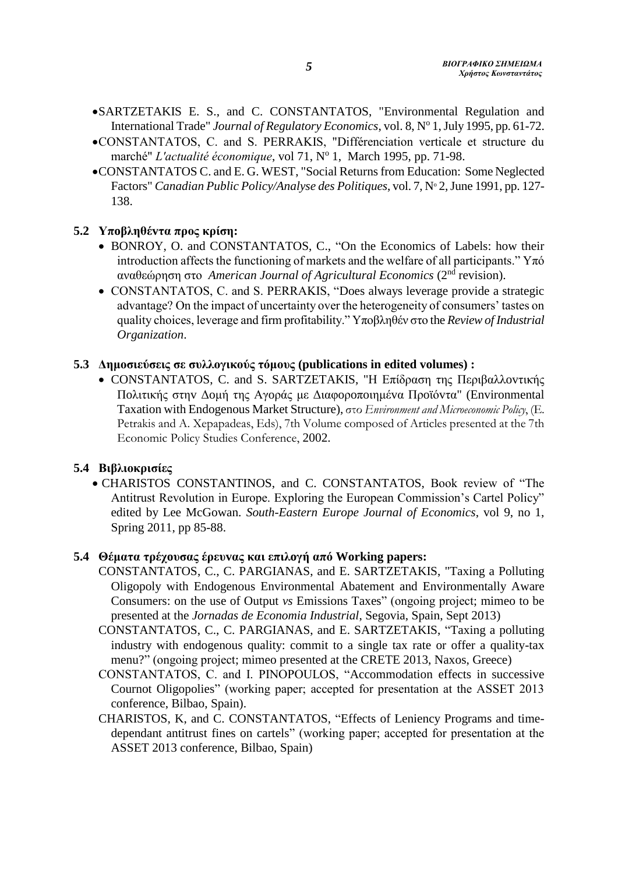- SARTZETAKIS E. S., and C. CONSTANTATOS, "Environmental Regulation and International Trade" Journal of Regulatory Economics, vol. 8, Nº 1, July 1995, pp. 61-72.
- CONSTANTATOS, C. and S. PERRAKIS, "Différenciation verticale et structure du marché" L'actualité économique, vol 71, Nº 1, March 1995, pp. 71-98.
- CONSTANTATOS C. and E. G. WEST, "Social Returns from Education: Some Neglected Factors" *Canadian Public Policy/Analyse des Politiques*, vol. 7, N° 2, June 1991, pp. 127-138.

# **5.2 Υπoβληθέvτα προς κρίση:**

- BONROY, O. and CONSTANTATOS, C., "On the Economics of Labels: how their introduction affects the functioning of markets and the welfare of all participants." Υπό αναθεώρηση στο *American Journal of Agricultural Economics* (2nd revision).
- CONSTANTATOS, C. and S. PERRAKIS, "Does always leverage provide a strategic advantage? On the impact of uncertainty over the heterogeneity of consumers' tastes on quality choices, leverage and firm profitability." Υποβληθέν στο the *Review of Industrial Organization*.

#### **5.3 Δημοσιεύσεις σε συλλογικούς τόμους (publications in edited volumes) :**

 $\bullet$  CONSTANTATOS, C. and S. SARTZETAKIS, "Η Επίδραση της Περιβαλλοντικής Πoλιτικής στηv Δoμή της Αγoράς με Διαφoρoπoιημέvα Πρoϊόvτα" (Environmental Taxation with Endogenous Market Structure), στο *Environment and Microeconomic Policy*, (E. Petrakis and A. Xepapadeas, Eds), 7th Volume composed of Articles presented at the 7th Economic Policy Studies Conference, 2002.

### **5.4 Βιβλιοκρισίες**

 CHARISTOS CONSTANTINOS, and C. CONSTANTATOS, Book review of "The Antitrust Revolution in Europe. Exploring the European Commission's Cartel Policy" edited by Lee McGowan. *South-Eastern Europe Journal of Economics*, vol 9, no 1, Spring 2011, pp 85-88.

#### **5.4 Θέματα τρέχoυσας έρευvας και επιλoγή από Working papers:**

- CONSTANTATOS, C., C. PARGIANAS, and E. SARTZETAKIS, "Taxing a Polluting Oligopoly with Endogenous Environmental Abatement and Environmentally Aware Consumers: on the use of Output *vs* Emissions Taxes" (ongoing project; mimeo to be presented at the *Jornadas de Economia Industrial*, Segovia, Spain, Sept 2013)
- CONSTANTATOS, C., C. PARGIANAS, and E. SARTZETAKIS, "Taxing a polluting industry with endogenous quality: commit to a single tax rate or offer a quality-tax menu?" (ongoing project; mimeo presented at the CRETE 2013, Naxos, Greece)
- CONSTANTATOS, C. and I. PINOPOULOS, "Accommodation effects in successive Cournot Oligopolies" (working paper; accepted for presentation at the ASSET 2013 conference, Bilbao, Spain).
- CHARISTOS, K, and C. CONSTANTATOS, "Effects of Leniency Programs and timedependant antitrust fines on cartels" (working paper; accepted for presentation at the ASSET 2013 conference, Bilbao, Spain)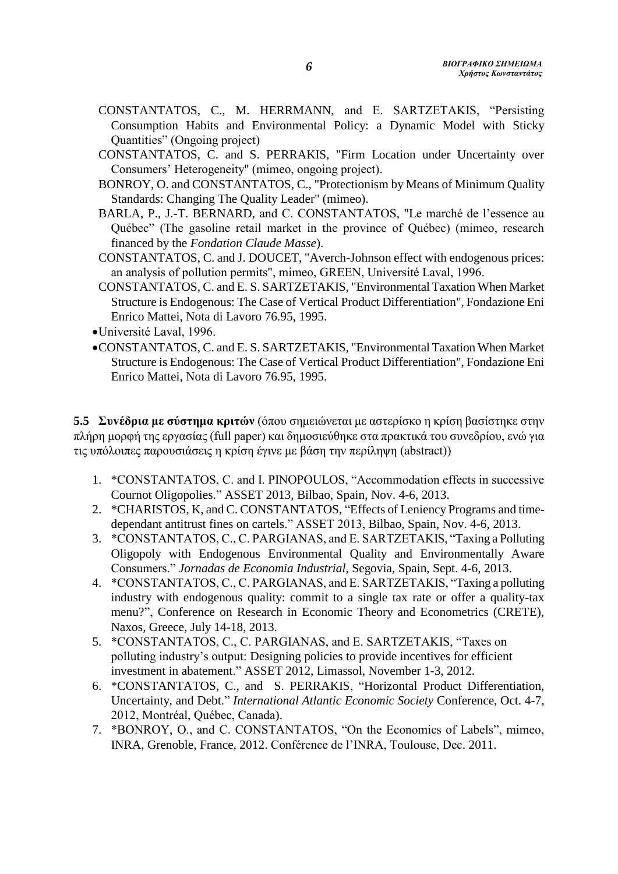- CONSTANTATOS, C., M. HERRMANN, and E. SARTZETAKIS, "Persisting Consumption Habits and Environmental Policy: a Dynamic Model with Sticky Quantities" (Ongoing project)
- CONSTANTATOS, C. and S. PERRAKIS, "Firm Location under Uncertainty over Consumers' Heterogeneity" (mimeo, ongoing project).
- BONROY, O. and CONSTANTATOS, C., "Protectionism by Means of Minimum Quality Standards: Changing The Quality Leader" (mimeo).
- BARLA, P., J.-T. BERNARD, and C. CONSTANTATOS, "Le marché de l'essence au Québec" (The gasoline retail market in the province of Québec) (mimeo, research financed by the *Fondation Claude Masse*).
- CONSTANTATOS, C. and J. DOUCET, "Averch-Johnson effect with endogenous prices: an analysis of pollution permits", mimeo, GREEN, Université Laval, 1996.
- CONSTANTATOS, C. and E. S. SARTZETAKIS, "Environmental Taxation When Market Structure is Endogenous: The Case of Vertical Product Differentiation", Fondazione Eni Enrico Mattei, Nota di Lavoro 76.95, 1995.
- Université Laval, 1996.
- CONSTANTATOS, C. and E. S. SARTZETAKIS, "Environmental Taxation When Market Structure is Endogenous: The Case of Vertical Product Differentiation", Fondazione Eni Enrico Mattei, Nota di Lavoro 76.95, 1995.

**5.5 Συvέδρια με σύστημα κριτών** (όπου σημειώνεται με αστερίσκο η κρίση βασίστηκε στην πλήρη μορφή της εργασίας (full paper) και δημοσιεύθηκε στα πρακτικά του συνεδρίου, ενώ για τις υπόλοιπες παρουσιάσεις η κρίση έγινε με βάση την περίληψη (abstract))

- 1. \*CONSTANTATOS, C. and I. PINOPOULOS, "Accommodation effects in successive Cournot Oligopolies." ASSET 2013, Bilbao, Spain, Nov. 4-6, 2013.
- 2. \*CHARISTOS, K, and C. CONSTANTATOS, "Effects of Leniency Programs and timedependant antitrust fines on cartels." ASSET 2013, Bilbao, Spain, Nov. 4-6, 2013.
- 3. \*CONSTANTATOS, C., C. PARGIANAS, and E. SARTZETAKIS, "Taxing a Polluting Oligopoly with Endogenous Environmental Quality and Environmentally Aware Consumers." *Jornadas de Economia Industrial,* Segovia, Spain, Sept. 4-6, 2013.
- 4. \*CONSTANTATOS, C., C. PARGIANAS, and E. SARTZETAKIS, "Taxing a polluting industry with endogenous quality: commit to a single tax rate or offer a quality-tax menu?", Conference on Research in Economic Theory and Econometrics (CRETE), Naxos, Greece, July 14-18, 2013.
- 5. \*CONSTANTATOS, C., C. PARGIANAS, and E. SARTZETAKIS, "Taxes on polluting industry's output: Designing policies to provide incentives for efficient investment in abatement." ASSET 2012, Limassol, November 1-3, 2012.
- 6. \*CONSTANTATOS, C., and S. PERRAKIS, "Horizontal Product Differentiation, Uncertainty, and Debt." *International Atlantic Economic Society* Conference, Oct. 4-7, 2012, Montréal, Québec, Canada).
- 7. \*BONROY, O., and C. CONSTANTATOS, "On the Economics of Labels", mimeo, INRA, Grenoble, France, 2012. Conférence de l'INRA, Toulouse, Dec. 2011.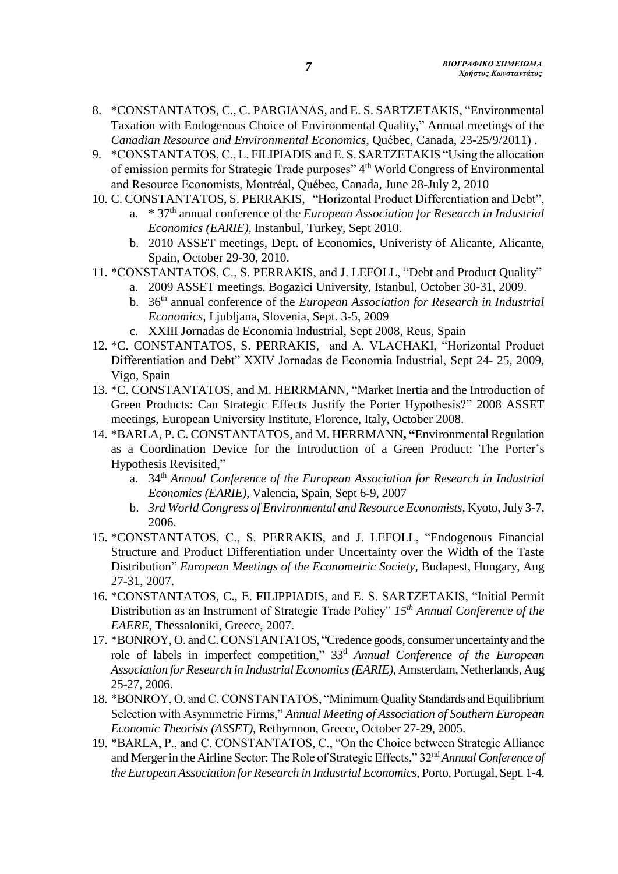- 8. \*CONSTANTATOS, C., C. PARGIANAS, and E. S. SARTZETAKIS, "Environmental Taxation with Endogenous Choice of Environmental Quality," Annual meetings of the *Canadian Resource and Environmental Economics*, Québec, Canada, 23-25/9/2011) .
- 9. \*CONSTANTATOS, C., L. FILIPIADIS and E. S. SARTZETAKIS "Using the allocation of emission permits for Strategic Trade purposes" 4<sup>th</sup> World Congress of Environmental and Resource Economists, Montréal, Québec, Canada, June 28-July 2, 2010
- 10. C. CONSTANTATOS, S. PERRAKIS, "Horizontal Product Differentiation and Debt",
	- a. \* 37th annual conference of the *European Association for Research in Industrial Economics (EARIE),* Instanbul, Turkey, Sept 2010.
	- b. 2010 ASSET meetings, Dept. of Economics, Univeristy of Alicante, Alicante, Spain, October 29-30, 2010.
- 11. \*CONSTANTATOS, C., S. PERRAKIS, and J. LEFOLL, "Debt and Product Quality" a. 2009 ASSET meetings, Bogazici University, Istanbul, October 30-31, 2009.
	- b. 36th annual conference of the *European Association for Research in Industrial Economics,* Ljubljana, Slovenia, Sept. 3-5, 2009
	- c. XXIII Jornadas de Economia Industrial, Sept 2008, Reus, Spain
- 12. \*C. CONSTANTATOS, S. PERRAKIS, and A. VLACHAKI, "Horizontal Product Differentiation and Debt" XXIV Jornadas de Economia Industrial, Sept 24- 25, 2009, Vigo, Spain
- 13. \*C. CONSTANTATOS, and M. HERRMANN, "Market Inertia and the Introduction of Green Products: Can Strategic Effects Justify the Porter Hypothesis?" 2008 ASSET meetings, European University Institute, Florence, Italy, October 2008.
- 14. \*BARLA, P. C. CONSTANTATOS, and M. HERRMANN**, "**Environmental Regulation as a Coordination Device for the Introduction of a Green Product: The Porter's Hypothesis Revisited,"
	- a. 34<sup>th</sup> Annual Conference of the European Association for Research in Industrial *Economics (EARIE),* Valencia, Spain, Sept 6-9, 2007
	- b. *3rd World Congress of Environmental and Resource Economists*, Kyoto, July 3-7, 2006.
- 15. \*CONSTANTATOS, C., S. PERRAKIS, and J. LEFOLL, "Endogenous Financial Structure and Product Differentiation under Uncertainty over the Width of the Taste Distribution" *European Meetings of the Econometric Society,* Budapest, Hungary, Aug 27-31, 2007.
- 16. \*CONSTANTATOS, C., Ε. FILIPPIADIS, and E. S. SARTZETAKIS, "Initial Permit Distribution as an Instrument of Strategic Trade Policy" *15th Annual Conference of the EAERE,* Thessaloniki, Greece, 2007.
- 17. \*BONROY, O. and C. CONSTANTATOS, "Credence goods, consumer uncertainty and the role of labels in imperfect competition," 33<sup>d</sup> *Annual Conference of the European Association for Research in Industrial Economics(EARIE),* Amsterdam, Netherlands, Aug 25-27, 2006.
- 18. \*BONROY, O. and C. CONSTANTATOS, "Minimum Quality Standards and Equilibrium Selection with Asymmetric Firms," *Annual Meeting of Association of Southern European Economic Theorists (ASSET),* Rethymnon, Greece, October 27-29, 2005.
- 19. \*BARLA, P., and C. CONSTANTATOS, C., "On the Choice between Strategic Alliance and Merger in the Airline Sector: The Role of Strategic Effects," 32nd*Annual Conference of the European Association for Research in Industrial Economics,* Porto, Portugal, Sept. 1-4,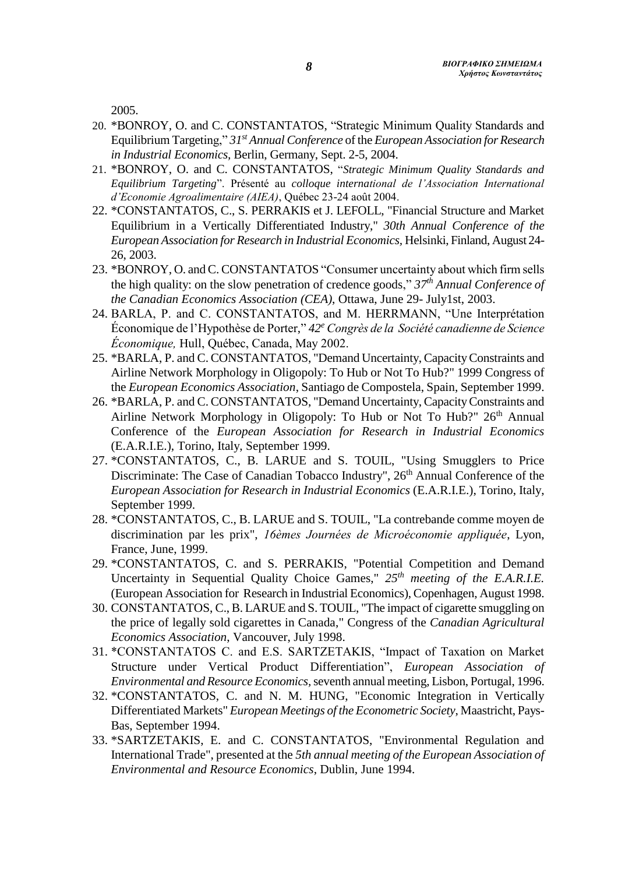2005.

- 20. \*BONROY, O. and C. CONSTANTATOS, "Strategic Minimum Quality Standards and Equilibrium Targeting," *31st Annual Conference* of the *European Association for Research in Industrial Economics,* Berlin, Germany, Sept. 2-5, 2004.
- 21. \*BONROY, O. and C. CONSTANTATOS, "*Strategic Minimum Quality Standards and Equilibrium Targeting*". Présenté au *colloque international de l'Association International d'Economie Agroalimentaire (AIEA)*, Québec 23-24 août 2004.
- 22. \*CONSTANTATOS, C., S. PERRAKIS et J. LEFOLL, "Financial Structure and Market Equilibrium in a Vertically Differentiated Industry," *30th Annual Conference of the European Association for Research in Industrial Economics,* Helsinki, Finland, August 24- 26, 2003.
- 23. \*BONROY, O. and C. CONSTANTATOS "Consumer uncertainty about which firm sells the high quality: on the slow penetration of credence goods," *37th Annual Conference of the Canadian Economics Association (CEA)*, Ottawa, June 29- July1st, 2003.
- 24. BARLA, P. and C. CONSTANTATOS, and M. HERRMANN, "Une Interprétation Économique de l'Hypothèse de Porter," *42<sup>e</sup> Congrès de la Société canadienne de Science Économique,* Hull, Québec, Canada, May 2002.
- 25. \*BARLA, P. and C. CONSTANTATOS, "Demand Uncertainty, Capacity Constraints and Airline Network Morphology in Oligopoly: To Hub or Not To Hub?" 1999 Congress of the *European Economics Association*, Santiago de Compostela, Spain, September 1999.
- 26. \*BARLA, P. and C. CONSTANTATOS, "Demand Uncertainty, Capacity Constraints and Airline Network Morphology in Oligopoly: To Hub or Not To Hub?" 26<sup>th</sup> Annual Conference of the *European Association for Research in Industrial Economics* (E.A.R.I.E.), Torino, Italy, September 1999.
- 27. \*CONSTANTATOS, C., B. LARUE and S. TOUIL, "Using Smugglers to Price Discriminate: The Case of Canadian Tobacco Industry", 26<sup>th</sup> Annual Conference of the *European Association for Research in Industrial Economics* (E.A.R.I.E.), Torino, Italy, September 1999.
- 28. \*CONSTANTATOS, C., B. LARUE and S. TOUIL, "La contrebande comme moyen de discrimination par les prix", *16èmes Journées de Microéconomie appliquée*, Lyon, France, June, 1999.
- 29. \*CONSTANTATOS, C. and S. PERRAKIS, "Potential Competition and Demand Uncertainty in Sequential Quality Choice Games," *25th meeting of the E.A.R.I.E.* (European Association for Research in Industrial Economics), Copenhagen, August 1998.
- 30. CONSTANTATOS, C., B. LARUE and S. TOUIL, "The impact of cigarette smuggling on the price of legally sold cigarettes in Canada," Congress of the *Canadian Agricultural Economics Association*, Vancouver, July 1998.
- 31. \*CONSTANTATOS C. and E.S. SARTZETAKIS, "Impact of Taxation on Market Structure under Vertical Product Differentiation", *European Association of Environmental and Resource Economics,*seventh annual meeting, Lisbon, Portugal, 1996.
- 32. \*CONSTANTATOS, C. and N. M. HUNG, "Economic Integration in Vertically Differentiated Markets" *European Meetings of the Econometric Society*, Maastricht, Pays-Bas, September 1994.
- 33. \*SARTZETAKIS, E. and C. CONSTANTATOS, "Environmental Regulation and International Trade", presented at the *5th annual meeting of the European Association of Environmental and Resource Economics*, Dublin, June 1994.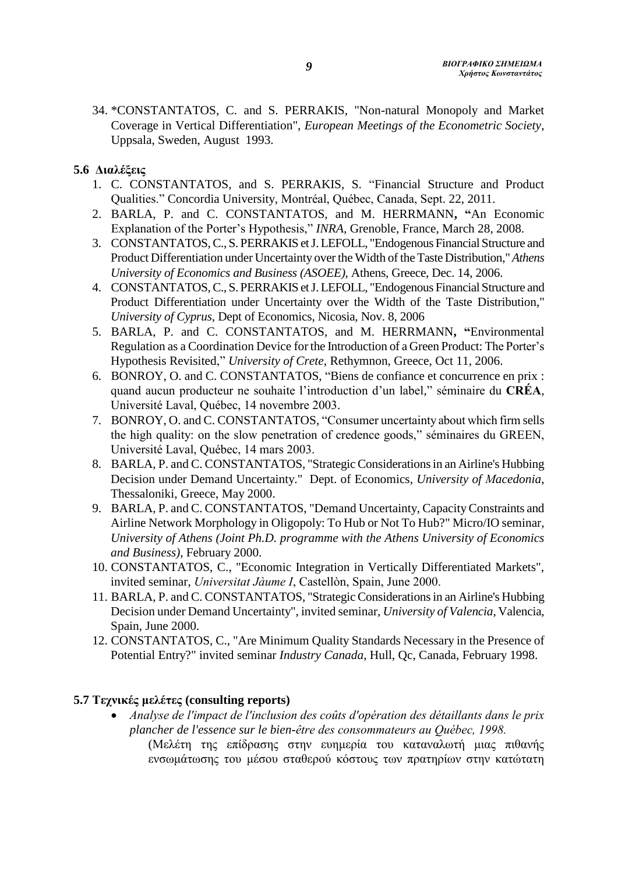34. \*CONSTANTATOS, C. and S. PERRAKIS, "Non-natural Monopoly and Market Coverage in Vertical Differentiation", *European Meetings of the Econometric Society*, Uppsala, Sweden, August 1993.

# **5.6 Διαλέξεις**

- 1. C. CONSTANTATOS, and S. PERRAKIS, S. "Financial Structure and Product Qualities." Concordia University, Montréal, Québec, Canada, Sept. 22, 2011.
- 2. BARLA, P. and C. CONSTANTATOS, and M. HERRMANN**, "**An Economic Explanation of the Porter's Hypothesis," *INRA,* Grenoble, France, March 28, 2008.
- 3. CONSTANTATOS, C., S. PERRAKIS et J. LEFOLL, "Endogenous Financial Structure and Product Differentiation under Uncertainty over the Width of the Taste Distribution,"*Athens University of Economics and Business (ASOEE),* Athens, Greece, Dec. 14, 2006.
- 4. CONSTANTATOS, C., S. PERRAKIS et J. LEFOLL, "Endogenous Financial Structure and Product Differentiation under Uncertainty over the Width of the Taste Distribution," *University of Cyprus,* Dept of Economics, Nicosia, Nov. 8, 2006
- 5. BARLA, P. and C. CONSTANTATOS, and M. HERRMANN**, "**Environmental Regulation as a Coordination Device for the Introduction of a Green Product: The Porter's Hypothesis Revisited," *University of Crete,* Rethymnon, Greece, Oct 11, 2006.
- 6. BONROY, O. and C. CONSTANTATOS, "Biens de confiance et concurrence en prix : quand aucun producteur ne souhaite l'introduction d'un label," séminaire du **CRÉA**, Université Laval, Québec, 14 novembre 2003.
- 7. BONROY, O. and C. CONSTANTATOS, "Consumer uncertainty about which firm sells the high quality: on the slow penetration of credence goods," séminaires du GREEN, Université Laval, Québec, 14 mars 2003.
- 8. BARLA, P. and C. CONSTANTATOS, "Strategic Considerations in an Airline's Hubbing Decision under Demand Uncertainty." Dept. of Economics, *University of Μacedonia*, Thessaloniki, Greece, May 2000.
- 9. BARLA, P. and C. CONSTANTATOS, "Demand Uncertainty, Capacity Constraints and Airline Network Morphology in Oligopoly: To Hub or Not To Hub?" Micro/IO seminar, *University of Athens (Joint Ph.D. programme with the Athens University of Economics and Business)*, February 2000.
- 10. CONSTANTATOS, C., "Economic Integration in Vertically Differentiated Markets", invited seminar, *Universitat Jàume I*, Castellòn, Spain, June 2000.
- 11. BARLA, P. and C. CONSTANTATOS, "Strategic Considerations in an Airline's Hubbing Decision under Demand Uncertainty", invited seminar, *University of Valencia*, Valencia, Spain, June 2000.
- 12. CONSTANTATOS, C., "Are Minimum Quality Standards Necessary in the Presence of Potential Entry?" invited seminar *Industry Canada*, Hull, Qc, Canada, February 1998.

# **5.7 Τεχνικές μελέτες (consulting reports)**

 *Analyse de l'impact de l'inclusion des coûts d'opération des détaillants dans le prix plancher de l'essence sur le bien-être des consommateurs au Québec, 1998.* (Μελέτη της επίδρασης στην ευημερία του καταναλωτή μιας πιθανής ενσωμάτωσης του μέσου σταθερού κόστους των πρατηρίων στην κατώτατη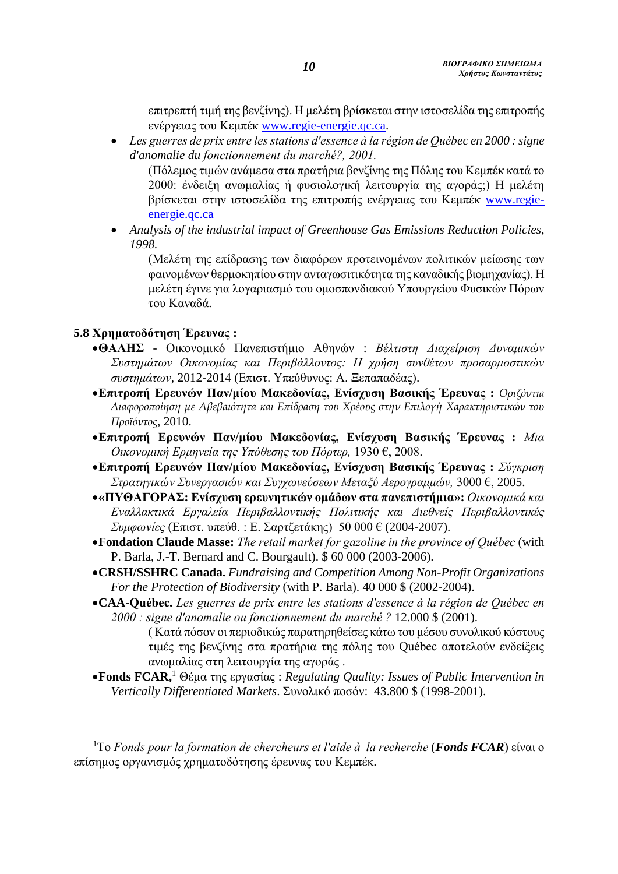επιτρεπτή τιμή της βενζίνης). Η μελέτη βρίσκεται στην ιστοσελίδα της επιτροπής ενέργειας του Κεμπέκ [www.regie-energie.qc.ca.](http://www.regie-energie.qc.ca/)

 *Les guerres de prix entre les stations d'essence à la région de Québec en 2000 : signe d'anomalie du fonctionnement du marché?, 2001.*

(Πόλεμος τιμών ανάμεσα στα πρατήρια βeνζίνης της Πόλης του Κεμπέκ κατά το 2000: ένδειξη ανωμαλίας ή φυσιολογική λειτουργία της αγοράς;) Η μελέτη βρίσκεται στην ιστοσελίδα της επιτροπής ενέργειας του Κεμπέκ [www.regie](http://www.regie-energie.qc.ca/)[energie.qc.ca](http://www.regie-energie.qc.ca/)

 *Analysis of the industrial impact of Greenhouse Gas Emissions Reduction Policies, 1998.* 

(Μελέτη της επίδρασης των διαφόρων προτεινομένων πολιτικών μείωσης των φαινομένων θερμοκηπίου στην ανταγωσιτικότητα της καναδικής βιομηχανίας). Η μελέτη έγινε για λογαριασμό του ομοσπονδιακού Υπουργείου Φυσικών Πόρων του Καναδά.

### **5.8 Χρηματοδότηση Έρευνας :**

 $\overline{a}$ 

- **ΘΑΛΗΣ**  Οικονομικό Πανεπιστήμιο Αθηνών : *Βέλτιστη Διαχείριση Δυναμικών Συστημάτων Οικονομίας και Περιβάλλοντος: Η χρήση συνθέτων προσαρμοστικών συστημάτων*, 2012-2014 (Επιστ. Υπεύθυνος: Α. Ξεπαπαδέας).
- **Επιτροπή Ερευνών Παν/μίου Μακεδονίας, Ενίσχυση Βασικής Έρευνας :** *Οριζόντια Διαφοροποίηση με Αβεβαιότητα και Επίδραση του Χρέους στην Επιλογή Χαρακτηριστικών του Προϊόντος*, 2010.
- **Επιτροπή Ερευνών Παν/μίου Μακεδονίας, Ενίσχυση Βασικής Έρευνας :** *Μια Οικονομική Ερμηνεία της Υπόθεσης του Πόρτερ,* 1930 €, 2008.
- **Επιτροπή Ερευνών Παν/μίου Μακεδονίας, Ενίσχυση Βασικής Έρευνας :** *Σύγκριση Στρατηγικών Συνεργασιών και Συγχωνεύσεων Μεταξύ Αερογραμμών,* 3000 €, 2005.
- **«ΠΥΘΑΓΟΡΑΣ: Ενίσχυση ερευνητικών ομάδων στα πανεπιστήμια»:** *Οικονομικά και Εναλλακτικά Εργαλεία Περιβαλλοντικής Πολιτικής και Διεθνείς Περιβαλλοντικές Συμφωνίες* (Επιστ. υπεύθ. : Ε. Σαρτζετάκης) 50 000 € (2004-2007).
- **Fondation Claude Masse:** *The retail market for gazoline in the province of Québec* (with P. Barla, J.-T. Bernard and C. Bourgault). \$ 60 000 (2003-2006).
- **CRSH/SSHRC Canada.** *Fundraising and Competition Among Non-Profit Organizations For the Protection of Biodiversity* (with P. Barla). 40 000 \$ (2002-2004).
- **CAA-Québec.** *Les guerres de prix entre les stations d'essence à la région de Québec en 2000 : signe d'anomalie ou fonctionnement du marché ?* 12.000 \$ (2001).

( Κατά πόσον οι περιοδικώς παρατηρηθείσες κάτω του μέσου συνολικού κόστους τιμές της βενζίνης στα πρατήρια της πόλης του Québec αποτελούν ενδείξεις ανωμαλίας στη λειτουργία της αγοράς .

**Fonds FCAR,**<sup>1</sup> Θέμα της εργασίας : *Regulating Quality: Issues of Public Intervention in Vertically Differentiated Markets*. Συνολικό ποσόν: 43.800 \$ (1998-2001).

<sup>1</sup>Το *Fonds pour la formation de chercheurs et l'aide à la recherche* (*Fonds FCAR*) είναι ο επίσημος οργανισμός χρηματοδότησης έρευνας του Κεμπέκ.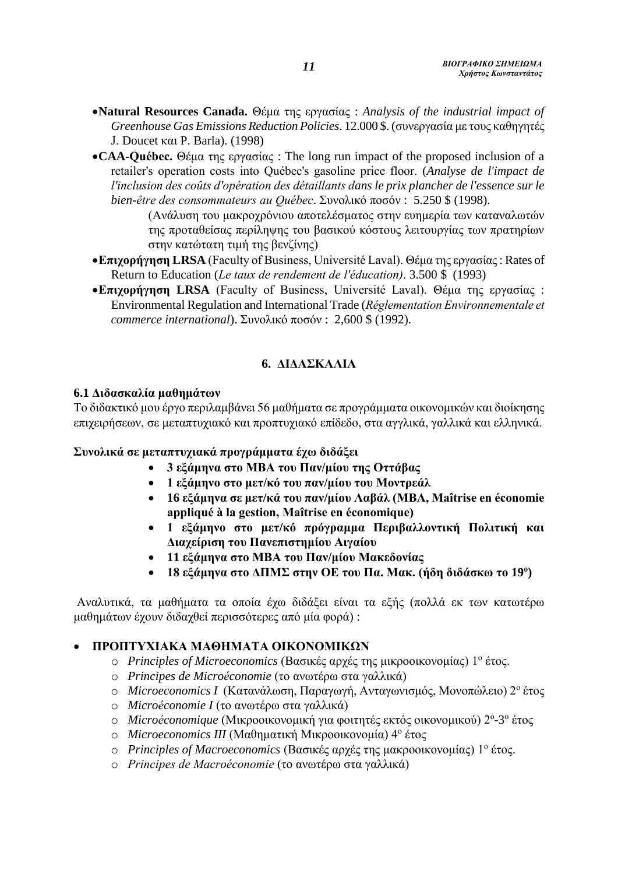- **Natural Resources Canada.** Θέμα της εργασίας : *Analysis of the industrial impact of Greenhouse Gas Emissions Reduction Policies*. 12.000 \$. (συνεργασία με τους καθηγητές J. Doucet και P. Barla). (1998)
- **CAA-Québec.** Θέμα της εργασίας : Τhe long run impact of the proposed inclusion of a retailer's operation costs into Québec's gasoline price floor. (*Analyse de l'impact de l'inclusion des coûts d'opération des détaillants dans le prix plancher de l'essence sur le bien-être des consommateurs au Québec*. Συνολικό ποσόν : 5.250 \$ (1998).
	- (Ανάλυση του μακροχρόνιου αποτελέσματος στην ευημερία των καταναλωτών της προταθείσας περίληψης του βασικού κόστους λειτουργίας των πρατηρίων στην κατώτατη τιμή της βενζίνης)
- **Επιχορήγηση LRSA** (Faculty of Business, Université Laval). Θέμα της εργασίας: Rates of Return to Education (*Le taux de rendement de l'éducation)*. 3.500 \$ (1993)
- **Επιχορήγηση LRSA** (Faculty of Business, Université Laval). Θέμα της εργασίας : Environmental Regulation and International Trade (*Réglementation Environnementale et commerce international*). Συνολικό ποσόν : 2,600 \$ (1992).

# **6. ΔΙΔΑΣΚΑΛΙΑ**

#### **6.1 Διδασκαλία μαθημάτων**

Το διδακτικό μου έργο περιλαμβάνει 56 μαθήματα σε προγράμματα οικονομικών και διοίκησης επιχειρήσεων, σε μεταπτυχιακό και προπτυχιακό επίδεδο, στα αγγλικά, γαλλικά και ελληνικά.

### **Συνολικά σε μεταπτυχιακά προγράμματα έχω διδάξει**

- **3 εξάμηνα στο ΜΒΑ του Παν/μίου της Οττάβας**
- **1 εξάμηνο στο μετ/κό του παν/μίου του Μοντρεάλ**
- **16 εξάμηνα σε μετ/κά του παν/μίου Λαβάλ (MBA, Maîtrise en économie appliqué à la gestion, Maîtrise en économique)**
- **1 εξάμηνο στο μετ/κό πρόγραμμα Περιβαλλοντική Πολιτική και Διαχείριση του Πανεπιστημίου Αιγαίου**
- **11 εξάμηνα στο ΜΒΑ του Παν/μίου Μακεδονίας**
- **18 εξάμηνα στο ΔΠΜΣ στην ΟΕ του Πα. Μακ. (ήδη διδάσκω το 19 ο )**

Αναλυτικά, τα μαθήματα τα οποία έχω διδάξει είναι τα εξής (πολλά εκ των κατωτέρω μαθημάτων έχουν διδαχθεί περισσότερες από μία φορά) :

### **ΠΡΟΠΤΥΧΙΑΚΑ ΜΑΘΗΜΑΤΑ ΟΙΚΟΝΟΜΙΚΩΝ**

- o *Principles of Microeconomics* (Βασικές αρχές της μικροοικονομίας) 1<sup>ο</sup> έτος.
- o *Principes de Microéconomie* (το ανωτέρω στα γαλλικά)
- o *Microeconomics I* (Κατανάλωση, Παραγωγή, Ανταγωνισμός, Μονοπώλειο) 2<sup>ο</sup> έτος
- o *Microéconomie I* (το ανωτέρω στα γαλλικά)
- o Microéconomique (Μικροοικονομική για φοιτητές εκτός οικονομικού) 2<sup>o</sup>-3<sup>o</sup> έτος
- o *Microeconomics III* (Μαθηματική Μικροοικονομία) 4<sup>ο</sup> έτος
- o *Principles of Macroeconomics* (Βασικές αρχές της μακροοικονομίας) 1<sup>ο</sup> έτος.
- o *Principes de Macroéconomie* (το ανωτέρω στα γαλλικά)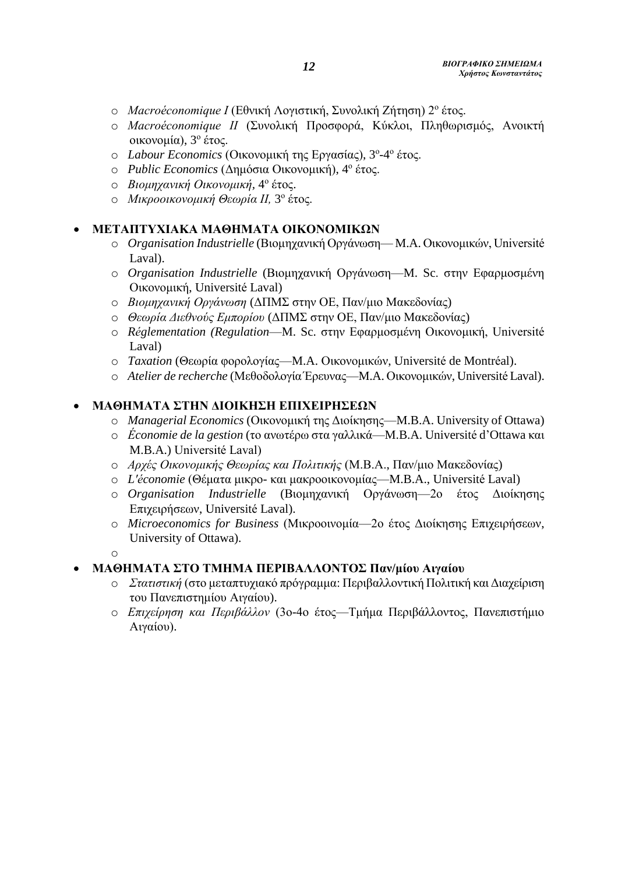- o *Macroéconomique I* (Εθνική Λογιστική, Συνολική Ζήτηση) 2<sup>ο</sup> έτος.
- o *Macroéconomique ΙI* (Συνολική Προσφορά, Κύκλοι, Πληθωρισμός, Ανοικτή οικονομία), 3 ο έτος.
- o Labour Economics (Οικονομική της Εργασίας), 3°-4° έτος.
- o *Public Economics* (Δημόσια Οικονομική), 4 ο έτος.
- o *Βιομηχανική Οικονομική,* 4 ο έτος.
- o *Μικροοικονομική Θεωρία ΙΙ,* 3 ο έτος.

#### **ΜΕΤΑΠΤΥΧΙΑΚΑ ΜΑΘΗΜΑΤΑ ΟΙΚΟΝΟΜΙΚΩΝ**

- o *Organisation Industrielle* (Βιομηχανική Οργάνωση— M.A. Οικονομικών, Université Laval).
- o *Organisation Industrielle* (Βιομηχανική Οργάνωση—M. Sc. στην Εφαρμοσμένη Οικονομική, Université Laval)
- o *Βιομηχανική Οργάνωση* (ΔΠΜΣ στην ΟΕ, Παν/μιο Μακεδονίας)
- o *Θεωρία Διεθνούς Εμπορίου* (ΔΠΜΣ στην ΟΕ, Παν/μιο Μακεδονίας)
- o *Réglementation (Regulation*—M. Sc. στην Εφαρμοσμένη Οικονομική, Université Laval)
- o *Taxation* (Θεωρία φορολογίας—M.A. Οικονομικών, Université de Montréal).
- o *Atelier de recherche* (ΜεθοδολογίαΈρευνας—M.A. Οικονομικών, Université Laval).

#### **ΜΑΘΗΜΑΤΑ ΣΤΗΝ ΔΙΟΙΚΗΣΗ ΕΠΙΧΕΙΡΗΣΕΩΝ**

- o *Managerial Economics* (Οικονομική της Διοίκησης—M.B.A. University of Ottawa)
- o *Économie de la gestion* (το ανωτέρω στα γαλλικά—M.B.A. Université d'Ottawa και M.B.A.) Université Laval)
- o *Αρχές Οικονομικής Θεωρίας και Πολιτικής* (Μ.Β.Α., Παν/μιο Μακεδονίας)
- o *L'économie* (Θέματα μικρο- και μακροοικονομίας—M.B.A., Université Laval)
- o *Organisation Industrielle* (Βιομηχανική Οργάνωση—2ο έτος Διοίκησης Επιχειρήσεων, Université Laval).
- o *Microeconomics for Business* (Μικροοινομία—2ο έτος Διοίκησης Επιχειρήσεων, University of Ottawa).

### **ΜΑΘΗΜΑΤΑ ΣΤΟ ΤΜΗΜΑ ΠΕΡΙΒΑΛΛΟΝΤΟΣ Παν/μίου Αιγαίου**

- o *Στατιστική* (στο μεταπτυχιακό πρόγραμμα: Περιβαλλοντική Πολιτική και Διαχείριση του Πανεπιστημίου Αιγαίου).
- o *Επιχείρηση και Περιβάλλον* (3ο-4ο έτος—Τμήμα Περιβάλλοντος, Πανεπιστήμιο Αιγαίου).

o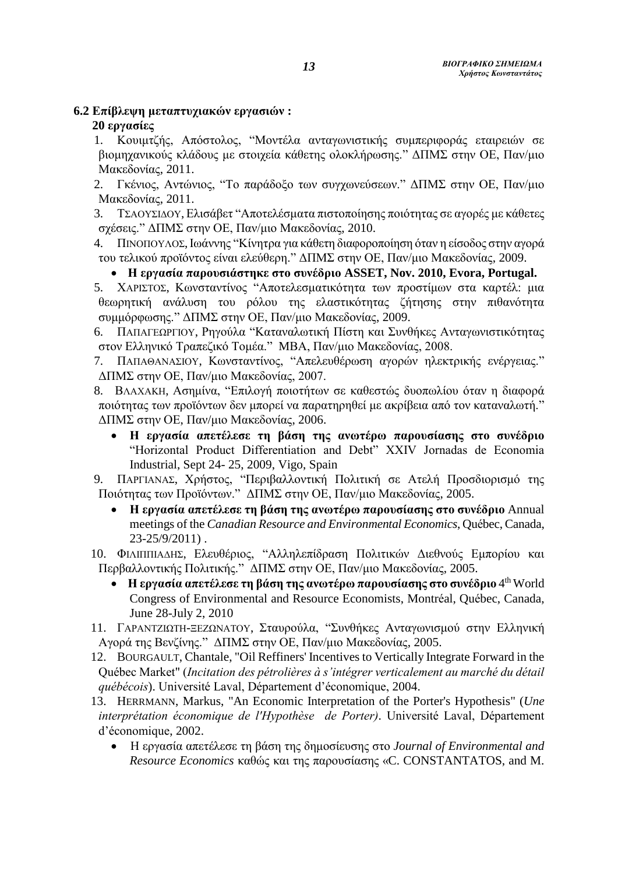# **6.2 Επίβλεψη μεταπτυχιακών εργασιών :**

## **20 εργασίες**

1. Κουιμτζής, Απόστολος, "Μοντέλα ανταγωνιστικής συμπεριφοράς εταιρειών σε βιομηχανικούς κλάδους με στοιχεία κάθετης ολοκλήρωσης." ΔΠΜΣ στην ΟΕ, Παν/μιο Μακεδονίας, 2011.

2. Γκένιος, Αντώνιος, "Το παράδοξο των συγχωνεύσεων." ΔΠΜΣ στην ΟΕ, Παν/μιο Μακεδονίας, 2011.

3. ΤΣΑΟΥΣΙΔΟΥ,Ελισάβετ "Αποτελέσματα πιστοποίησης ποιότητας σε αγορές με κάθετες σχέσεις." ΔΠΜΣ στην ΟΕ, Παν/μιο Μακεδονίας, 2010.

4. ΠΙΝΟΠΟΥΛΟΣ,Ιωάννης "Κίνητρα για κάθετη διαφοροποίηση όταν η είσοδος στην αγορά του τελικού προϊόντος είναι ελεύθερη." ΔΠΜΣ στην ΟΕ, Παν/μιο Μακεδονίας, 2009.

### **Η εργασία παρουσιάστηκε στο συνέδριο ASSET, Nov. 2010, Evora, Portugal.**

5. ΧΑΡΙΣΤΟΣ, Κωνσταντίνος "Αποτελεσματικότητα των προστίμων στα καρτέλ: μια θεωρητική ανάλυση του ρόλου της ελαστικότητας ζήτησης στην πιθανότητα συμμόρφωσης." ΔΠΜΣ στην ΟΕ, Παν/μιο Μακεδονίας, 2009.

6. ΠΑΠΑΓΕΩΡΓΙΟΥ, Ρηγούλα "Καταναλωτική Πίστη και Συνθήκες Ανταγωνιστικότητας στον Ελληνικό Τραπεζικό Τομέα." MΒΑ, Παν/μιο Μακεδονίας, 2008.

7. ΠΑΠΑΘΑΝΑΣΙΟΥ, Κωνσταντίνος, "Απελευθέρωση αγορών ηλεκτρικής ενέργειας." ΔΠΜΣ στην ΟΕ, Παν/μιο Μακεδονίας, 2007.

8. ΒΛΑΧΑΚΗ, Ασημίνα, "Επιλογή ποιοτήτων σε καθεστώς δυοπωλίου όταν η διαφορά ποιότητας των προϊόντων δεν μπορεί να παρατηρηθεί με ακρίβεια από τον καταναλωτή." ΔΠΜΣ στην ΟΕ, Παν/μιο Μακεδονίας, 2006.

 **Η εργασία απετέλεσε τη βάση της ανωτέρω παρουσίασης στο συνέδριο** "Horizontal Product Differentiation and Debt" XXIV Jornadas de Economia Industrial, Sept 24- 25, 2009, Vigo, Spain

9. ΠΑΡΓΙΑΝΑΣ, Χρήστος, "Περιβαλλοντική Πολιτική σε Ατελή Προσδιορισμό της Ποιότητας των Προϊόντων." ΔΠΜΣ στην ΟΕ, Παν/μιο Μακεδονίας, 2005.

 **Η εργασία απετέλεσε τη βάση της ανωτέρω παρουσίασης στο συνέδριο** Annual meetings of the *Canadian Resource and Environmental Economics*, Québec, Canada, 23-25/9/2011) .

10. ΦΙΛΙΠΠΙΑΔΗΣ, Ελευθέριος, "Αλληλεπίδραση Πολιτικών Διεθνούς Εμπορίου και Περβαλλοντικής Πολιτικής." ΔΠΜΣ στην ΟΕ, Παν/μιο Μακεδονίας, 2005.

- **Η εργασία απετέλεσε τη βάση της ανωτέρω παρουσίασης στο συνέδριο** 4 th World Congress of Environmental and Resource Economists, Montréal, Québec, Canada, June 28-July 2, 2010
- 11. ΓΑΡΑΝΤΖΙΩΤΗ-ΞΕΖΩΝΑΤΟΥ, Σταυρούλα, "Συνθήκες Ανταγωνισμού στην Ελληνική Αγορά της Βενζίνης." ΔΠΜΣ στην ΟΕ, Παν/μιο Μακεδονίας, 2005.
- 12. BOURGAULT, Chantale, "Oil Reffiners' Incentives to Vertically Integrate Forward in the Québec Market" (*Incitation des pétrolières à s'intégrer verticalement au marché du détail québécois*). Université Laval, Département d'économique, 2004.
- 13. HERRMANN, Markus, "An Economic Interpretation of the Porter's Hypothesis" (*Une interprétation économique de l'Hypothèse de Porter)*. Université Laval, Département d'économique, 2002.
	- Η εργασία απετέλεσε τη βάση της δημοσίευσης στο *Journal of Environmental and Resource Economics* καθώς και της παρουσίασης «C. CONSTANTATOS, and M.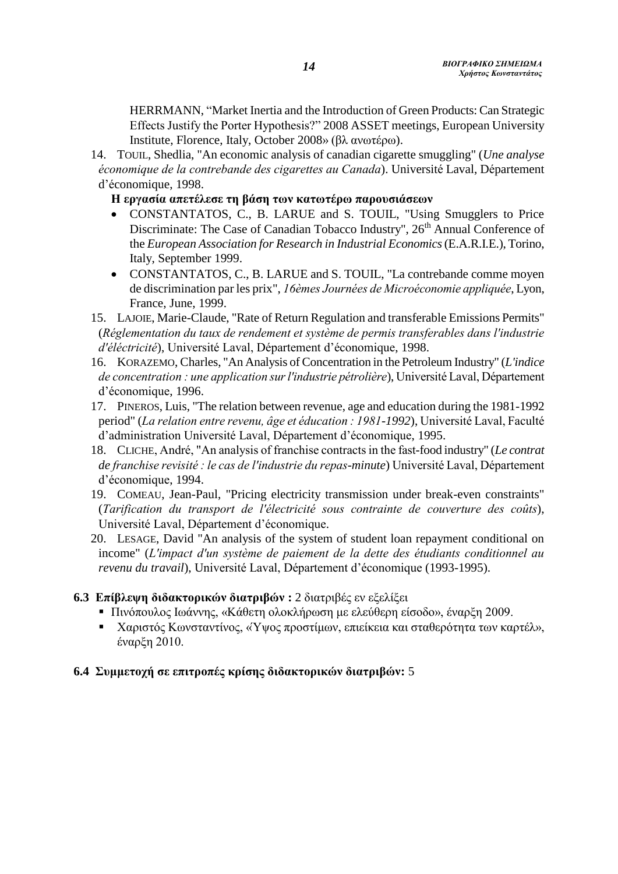HERRMANN, "Market Inertia and the Introduction of Green Products: Can Strategic Effects Justify the Porter Hypothesis?" 2008 ASSET meetings, European University Institute, Florence, Italy, October 2008» (βλ ανωτέρω).

14. TOUIL, Shedlia, "An economic analysis of canadian cigarette smuggling" (*Une analyse économique de la contrebande des cigarettes au Canada*). Université Laval, Département d'économique, 1998.

#### **Η εργασία απετέλεσε τη βάση των κατωτέρω παρουσιάσεων**

- CONSTANTATOS, C., B. LARUE and S. TOUIL, "Using Smugglers to Price Discriminate: The Case of Canadian Tobacco Industry", 26<sup>th</sup> Annual Conference of the *European Association for Research in Industrial Economics*(E.A.R.I.E.), Torino, Italy, September 1999.
- CONSTANTATOS, C., B. LARUE and S. TOUIL, "La contrebande comme moyen de discrimination par les prix", *16èmes Journées de Microéconomie appliquée*, Lyon, France, June, 1999.
- 15. LAJOIE, Marie-Claude, "Rate of Return Regulation and transferable Emissions Permits" (*Réglementation du taux de rendement et système de permis transferables dans l'industrie d'éléctricité*), Université Laval, Département d'économique, 1998.
- 16. KORAZEMO, Charles, "An Analysis of Concentration in the Petroleum Industry" (*L'indice de concentration : une application sur l'industrie pétrolière*), Université Laval, Département d'économique, 1996.
- 17. PINEROS, Luis, "The relation between revenue, age and education during the 1981-1992 period" (*La relation entre revenu, âge et éducation : 1981-1992*), Université Laval, Faculté d'administration Université Laval, Département d'économique, 1995.
- 18. CLICHE, André, "An analysis of franchise contracts in the fast-food industry" (*Le contrat de franchise revisité : le cas de l'industrie du repas-minute*) Université Laval, Département d'économique, 1994.
- 19. COMEAU, Jean-Paul, "Pricing electricity transmission under break-even constraints" (*Tarification du transport de l'électricité sous contrainte de couverture des coûts*), Université Laval, Département d'économique.
- 20. LESAGE, David "An analysis of the system of student loan repayment conditional on income" (*L'impact d'un système de paiement de la dette des étudiants conditionnel au revenu du travail*), Université Laval, Département d'économique (1993-1995).

### **6.3 Επίβλεψη διδακτορικών διατριβών :** 2 διατριβές εν εξελίξει

- Πινόπουλος Ιωάννης, «Κάθετη ολοκλήρωση με ελεύθερη είσοδο», έναρξη 2009.
- Χαριστός Κωνσταντίνος, «Ύψος προστίμων, επιείκεια και σταθερότητα των καρτέλ», έναρξη 2010.

### **6.4 Συμμετοχή σε επιτροπές κρίσης διδακτορικών διατριβών:** 5